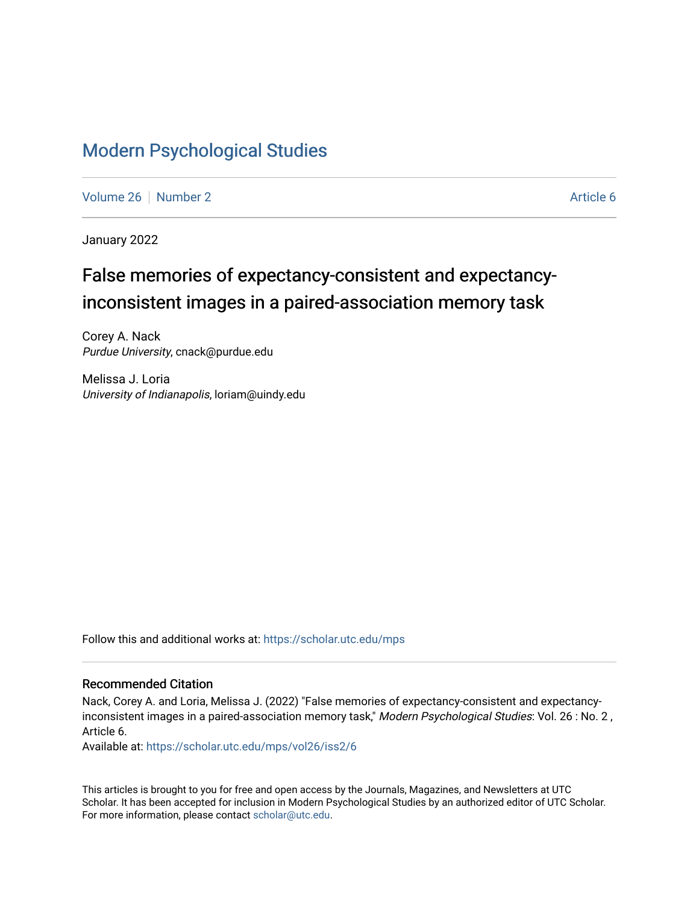# [Modern Psychological Studies](https://scholar.utc.edu/mps)

[Volume 26](https://scholar.utc.edu/mps/vol26) [Number 2](https://scholar.utc.edu/mps/vol26/iss2) Article 6

January 2022

# False memories of expectancy-consistent and expectancyinconsistent images in a paired-association memory task

Corey A. Nack Purdue University, cnack@purdue.edu

Melissa J. Loria University of Indianapolis, loriam@uindy.edu

Follow this and additional works at: [https://scholar.utc.edu/mps](https://scholar.utc.edu/mps?utm_source=scholar.utc.edu%2Fmps%2Fvol26%2Fiss2%2F6&utm_medium=PDF&utm_campaign=PDFCoverPages) 

## Recommended Citation

Nack, Corey A. and Loria, Melissa J. (2022) "False memories of expectancy-consistent and expectancyinconsistent images in a paired-association memory task," Modern Psychological Studies: Vol. 26 : No. 2, Article 6.

Available at: [https://scholar.utc.edu/mps/vol26/iss2/6](https://scholar.utc.edu/mps/vol26/iss2/6?utm_source=scholar.utc.edu%2Fmps%2Fvol26%2Fiss2%2F6&utm_medium=PDF&utm_campaign=PDFCoverPages) 

This articles is brought to you for free and open access by the Journals, Magazines, and Newsletters at UTC Scholar. It has been accepted for inclusion in Modern Psychological Studies by an authorized editor of UTC Scholar. For more information, please contact [scholar@utc.edu](mailto:scholar@utc.edu).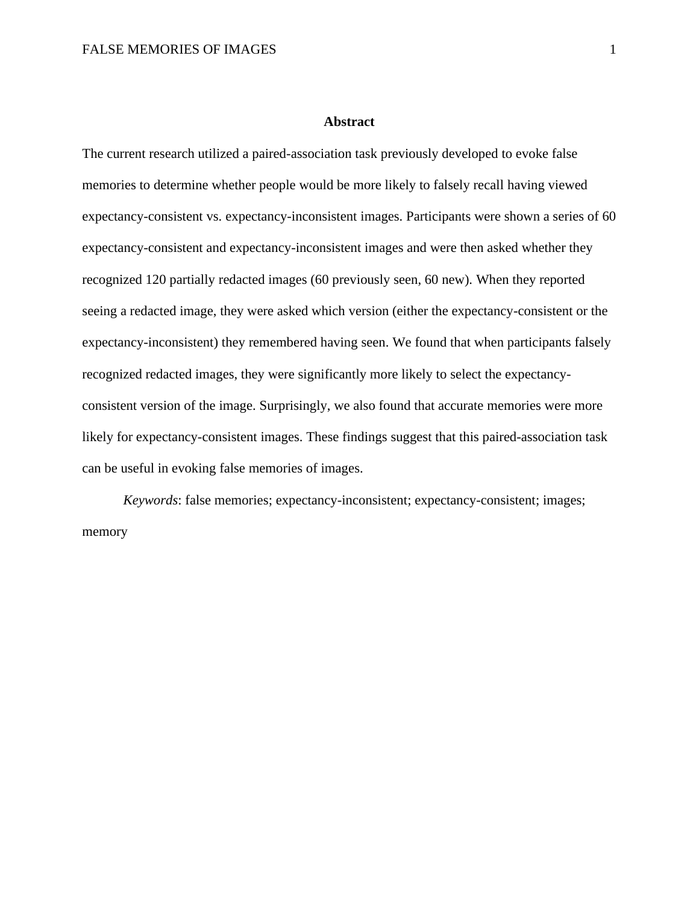#### **Abstract**

The current research utilized a paired-association task previously developed to evoke false memories to determine whether people would be more likely to falsely recall having viewed expectancy-consistent vs. expectancy-inconsistent images. Participants were shown a series of 60 expectancy-consistent and expectancy-inconsistent images and were then asked whether they recognized 120 partially redacted images (60 previously seen, 60 new). When they reported seeing a redacted image, they were asked which version (either the expectancy-consistent or the expectancy-inconsistent) they remembered having seen. We found that when participants falsely recognized redacted images, they were significantly more likely to select the expectancyconsistent version of the image. Surprisingly, we also found that accurate memories were more likely for expectancy-consistent images. These findings suggest that this paired-association task can be useful in evoking false memories of images.

*Keywords*: false memories; expectancy-inconsistent; expectancy-consistent; images; memory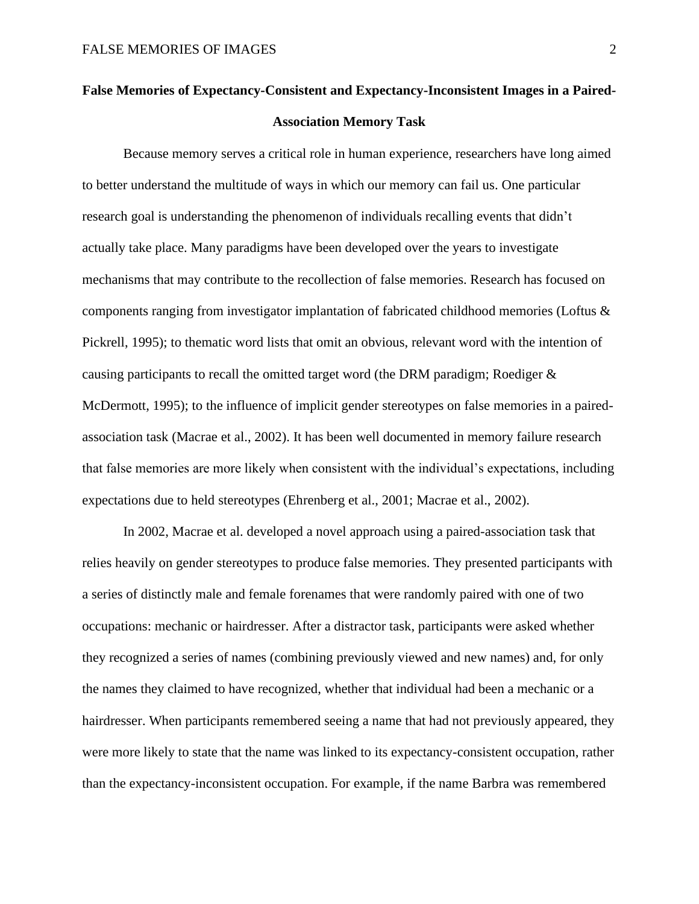# **False Memories of Expectancy-Consistent and Expectancy-Inconsistent Images in a Paired-Association Memory Task**

Because memory serves a critical role in human experience, researchers have long aimed to better understand the multitude of ways in which our memory can fail us. One particular research goal is understanding the phenomenon of individuals recalling events that didn't actually take place. Many paradigms have been developed over the years to investigate mechanisms that may contribute to the recollection of false memories. Research has focused on components ranging from investigator implantation of fabricated childhood memories (Loftus & Pickrell, 1995); to thematic word lists that omit an obvious, relevant word with the intention of causing participants to recall the omitted target word (the DRM paradigm; Roediger & McDermott, 1995); to the influence of implicit gender stereotypes on false memories in a pairedassociation task (Macrae et al., 2002). It has been well documented in memory failure research that false memories are more likely when consistent with the individual's expectations, including expectations due to held stereotypes (Ehrenberg et al., 2001; Macrae et al., 2002).

In 2002, Macrae et al. developed a novel approach using a paired-association task that relies heavily on gender stereotypes to produce false memories. They presented participants with a series of distinctly male and female forenames that were randomly paired with one of two occupations: mechanic or hairdresser. After a distractor task, participants were asked whether they recognized a series of names (combining previously viewed and new names) and, for only the names they claimed to have recognized, whether that individual had been a mechanic or a hairdresser. When participants remembered seeing a name that had not previously appeared, they were more likely to state that the name was linked to its expectancy-consistent occupation, rather than the expectancy-inconsistent occupation. For example, if the name Barbra was remembered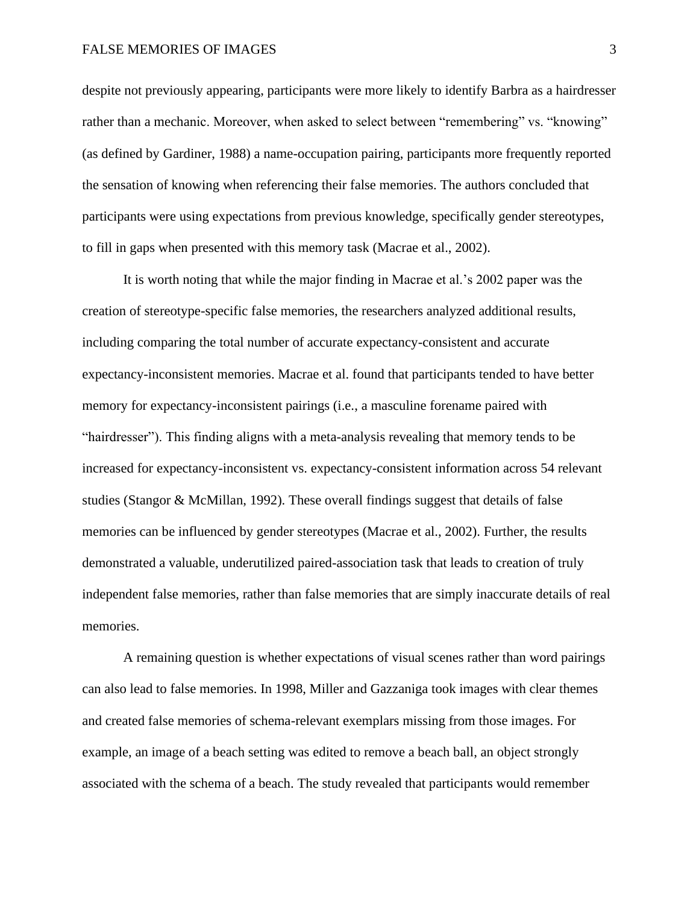despite not previously appearing, participants were more likely to identify Barbra as a hairdresser rather than a mechanic. Moreover, when asked to select between "remembering" vs. "knowing" (as defined by Gardiner, 1988) a name-occupation pairing, participants more frequently reported the sensation of knowing when referencing their false memories. The authors concluded that participants were using expectations from previous knowledge, specifically gender stereotypes, to fill in gaps when presented with this memory task (Macrae et al., 2002).

It is worth noting that while the major finding in Macrae et al.'s 2002 paper was the creation of stereotype-specific false memories, the researchers analyzed additional results, including comparing the total number of accurate expectancy-consistent and accurate expectancy-inconsistent memories. Macrae et al. found that participants tended to have better memory for expectancy-inconsistent pairings (i.e., a masculine forename paired with "hairdresser"). This finding aligns with a meta-analysis revealing that memory tends to be increased for expectancy-inconsistent vs. expectancy-consistent information across 54 relevant studies (Stangor & McMillan, 1992). These overall findings suggest that details of false memories can be influenced by gender stereotypes (Macrae et al., 2002). Further, the results demonstrated a valuable, underutilized paired-association task that leads to creation of truly independent false memories, rather than false memories that are simply inaccurate details of real memories.

A remaining question is whether expectations of visual scenes rather than word pairings can also lead to false memories. In 1998, Miller and Gazzaniga took images with clear themes and created false memories of schema-relevant exemplars missing from those images. For example, an image of a beach setting was edited to remove a beach ball, an object strongly associated with the schema of a beach. The study revealed that participants would remember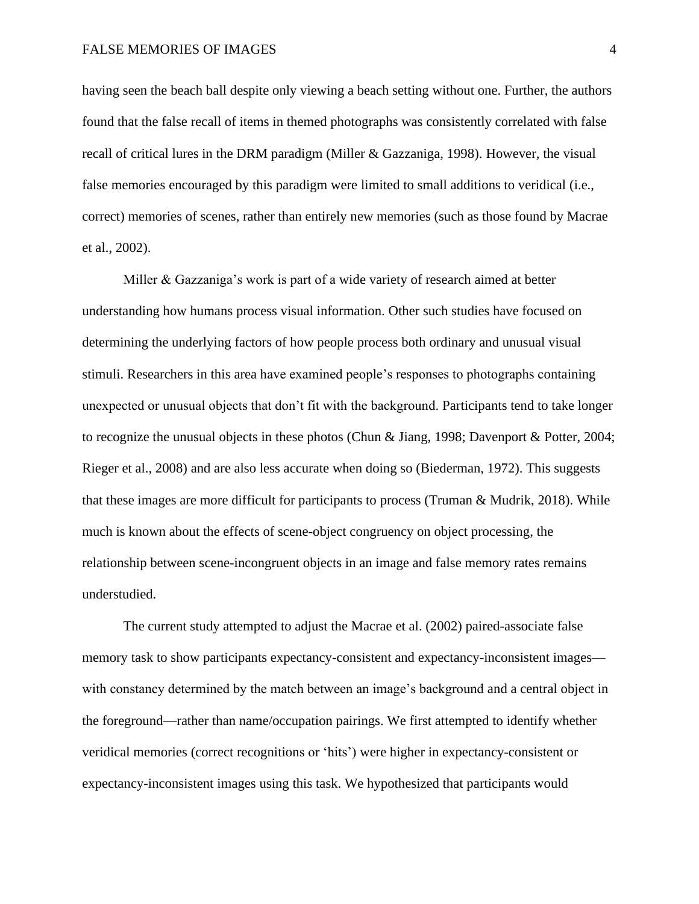having seen the beach ball despite only viewing a beach setting without one. Further, the authors found that the false recall of items in themed photographs was consistently correlated with false recall of critical lures in the DRM paradigm (Miller & Gazzaniga, 1998). However, the visual false memories encouraged by this paradigm were limited to small additions to veridical (i.e., correct) memories of scenes, rather than entirely new memories (such as those found by Macrae et al., 2002).

Miller & Gazzaniga's work is part of a wide variety of research aimed at better understanding how humans process visual information. Other such studies have focused on determining the underlying factors of how people process both ordinary and unusual visual stimuli. Researchers in this area have examined people's responses to photographs containing unexpected or unusual objects that don't fit with the background. Participants tend to take longer to recognize the unusual objects in these photos (Chun & Jiang, 1998; Davenport & Potter, 2004; Rieger et al., 2008) and are also less accurate when doing so (Biederman, 1972). This suggests that these images are more difficult for participants to process (Truman & Mudrik, 2018). While much is known about the effects of scene-object congruency on object processing, the relationship between scene-incongruent objects in an image and false memory rates remains understudied.

The current study attempted to adjust the Macrae et al. (2002) paired-associate false memory task to show participants expectancy-consistent and expectancy-inconsistent images with constancy determined by the match between an image's background and a central object in the foreground—rather than name/occupation pairings. We first attempted to identify whether veridical memories (correct recognitions or 'hits') were higher in expectancy-consistent or expectancy-inconsistent images using this task. We hypothesized that participants would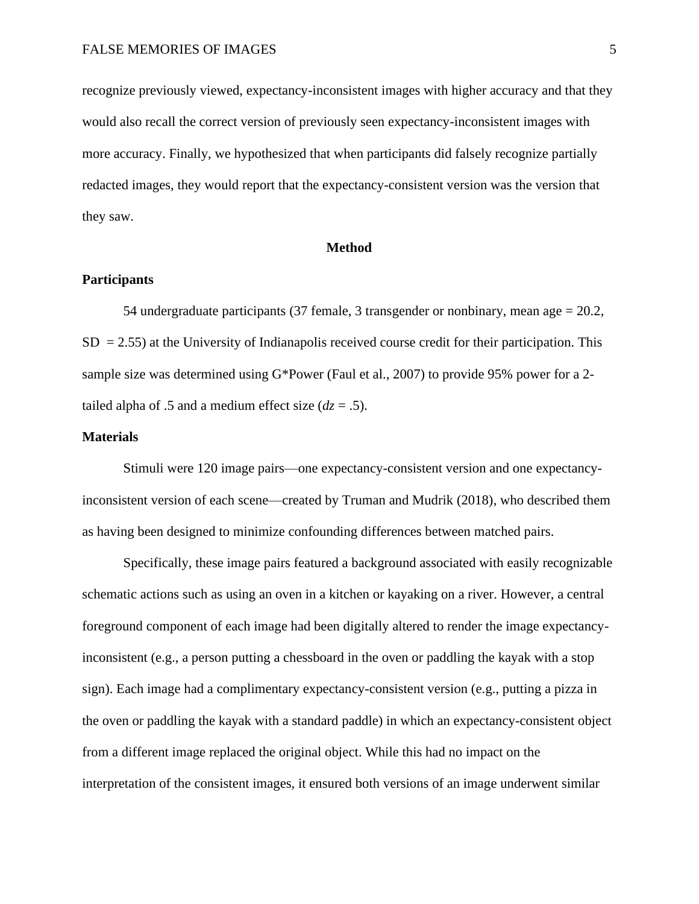recognize previously viewed, expectancy-inconsistent images with higher accuracy and that they would also recall the correct version of previously seen expectancy-inconsistent images with more accuracy. Finally, we hypothesized that when participants did falsely recognize partially redacted images, they would report that the expectancy-consistent version was the version that they saw.

#### **Method**

## **Participants**

54 undergraduate participants (37 female, 3 transgender or nonbinary, mean age = 20.2,  $SD = 2.55$ ) at the University of Indianapolis received course credit for their participation. This sample size was determined using G\*Power (Faul et al., 2007) to provide 95% power for a 2 tailed alpha of .5 and a medium effect size  $(dz = .5)$ .

### **Materials**

Stimuli were 120 image pairs—one expectancy-consistent version and one expectancyinconsistent version of each scene—created by Truman and Mudrik (2018), who described them as having been designed to minimize confounding differences between matched pairs.

Specifically, these image pairs featured a background associated with easily recognizable schematic actions such as using an oven in a kitchen or kayaking on a river. However, a central foreground component of each image had been digitally altered to render the image expectancyinconsistent (e.g., a person putting a chessboard in the oven or paddling the kayak with a stop sign). Each image had a complimentary expectancy-consistent version (e.g., putting a pizza in the oven or paddling the kayak with a standard paddle) in which an expectancy-consistent object from a different image replaced the original object. While this had no impact on the interpretation of the consistent images, it ensured both versions of an image underwent similar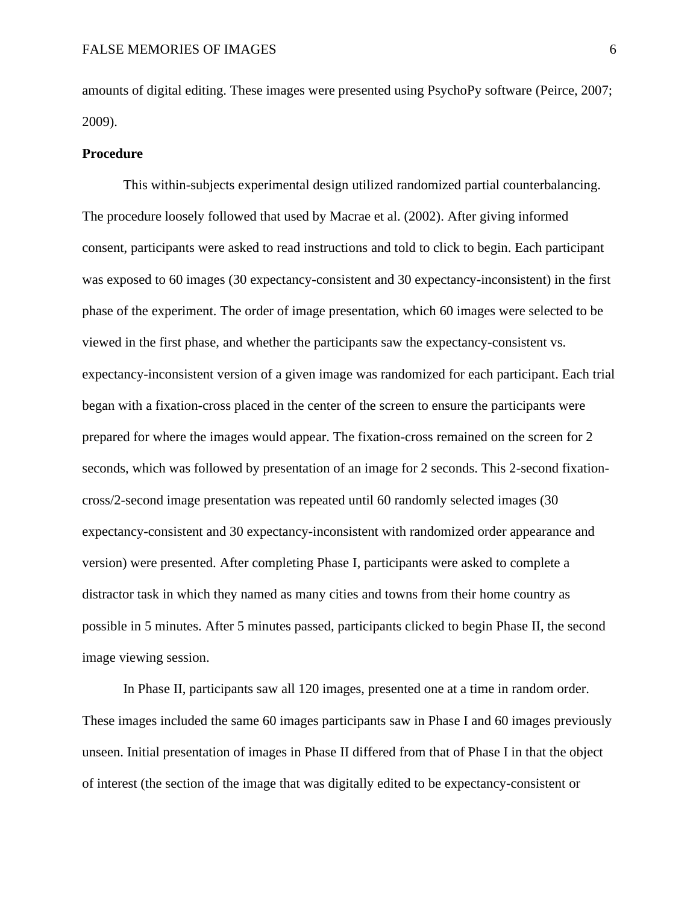amounts of digital editing. These images were presented using PsychoPy software (Peirce, 2007; 2009).

#### **Procedure**

This within-subjects experimental design utilized randomized partial counterbalancing. The procedure loosely followed that used by Macrae et al. (2002). After giving informed consent, participants were asked to read instructions and told to click to begin. Each participant was exposed to 60 images (30 expectancy-consistent and 30 expectancy-inconsistent) in the first phase of the experiment. The order of image presentation, which 60 images were selected to be viewed in the first phase, and whether the participants saw the expectancy-consistent vs. expectancy-inconsistent version of a given image was randomized for each participant. Each trial began with a fixation-cross placed in the center of the screen to ensure the participants were prepared for where the images would appear. The fixation-cross remained on the screen for 2 seconds, which was followed by presentation of an image for 2 seconds. This 2-second fixationcross/2-second image presentation was repeated until 60 randomly selected images (30 expectancy-consistent and 30 expectancy-inconsistent with randomized order appearance and version) were presented. After completing Phase I, participants were asked to complete a distractor task in which they named as many cities and towns from their home country as possible in 5 minutes. After 5 minutes passed, participants clicked to begin Phase II, the second image viewing session.

In Phase II, participants saw all 120 images, presented one at a time in random order. These images included the same 60 images participants saw in Phase I and 60 images previously unseen. Initial presentation of images in Phase II differed from that of Phase I in that the object of interest (the section of the image that was digitally edited to be expectancy-consistent or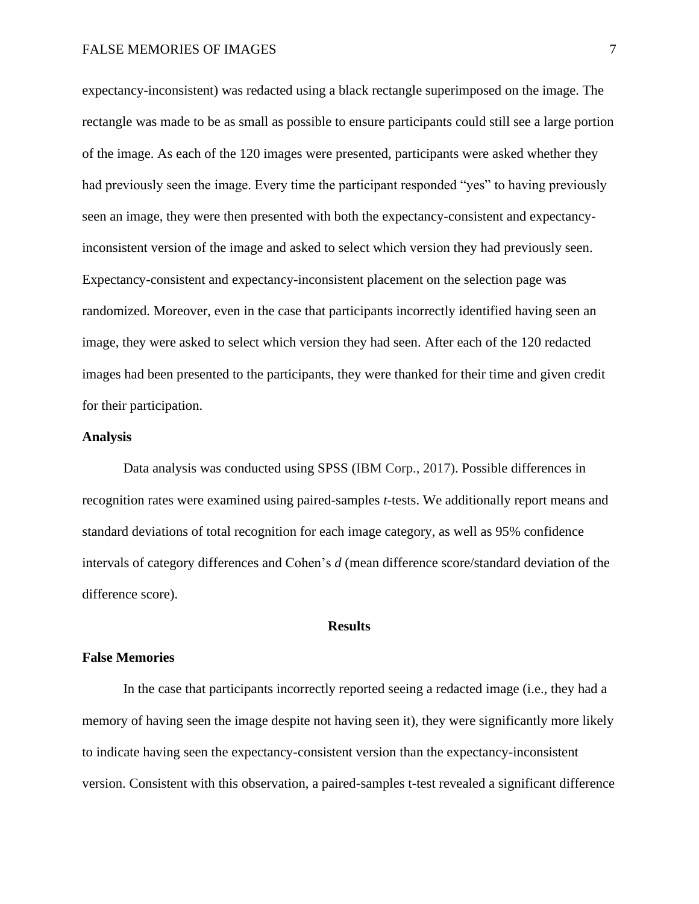expectancy-inconsistent) was redacted using a black rectangle superimposed on the image. The rectangle was made to be as small as possible to ensure participants could still see a large portion of the image. As each of the 120 images were presented, participants were asked whether they had previously seen the image. Every time the participant responded "yes" to having previously seen an image, they were then presented with both the expectancy-consistent and expectancyinconsistent version of the image and asked to select which version they had previously seen. Expectancy-consistent and expectancy-inconsistent placement on the selection page was randomized. Moreover, even in the case that participants incorrectly identified having seen an image, they were asked to select which version they had seen. After each of the 120 redacted images had been presented to the participants, they were thanked for their time and given credit for their participation.

### **Analysis**

Data analysis was conducted using SPSS (IBM Corp., 2017). Possible differences in recognition rates were examined using paired-samples *t*-tests. We additionally report means and standard deviations of total recognition for each image category, as well as 95% confidence intervals of category differences and Cohen's *d* (mean difference score/standard deviation of the difference score).

### **Results**

#### **False Memories**

In the case that participants incorrectly reported seeing a redacted image (i.e., they had a memory of having seen the image despite not having seen it), they were significantly more likely to indicate having seen the expectancy-consistent version than the expectancy-inconsistent version. Consistent with this observation, a paired-samples t-test revealed a significant difference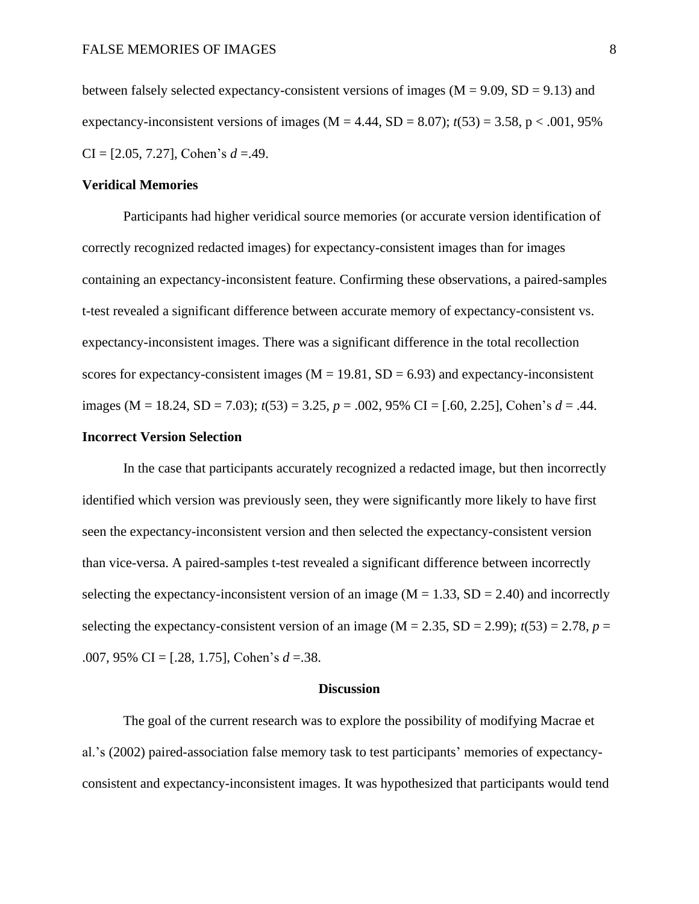between falsely selected expectancy-consistent versions of images ( $M = 9.09$ ,  $SD = 9.13$ ) and expectancy-inconsistent versions of images ( $M = 4.44$ ,  $SD = 8.07$ );  $t(53) = 3.58$ ,  $p < .001$ , 95% CI = [2.05, 7.27], Cohen's *d* =.49.

#### **Veridical Memories**

Participants had higher veridical source memories (or accurate version identification of correctly recognized redacted images) for expectancy-consistent images than for images containing an expectancy-inconsistent feature. Confirming these observations, a paired-samples t-test revealed a significant difference between accurate memory of expectancy-consistent vs. expectancy-inconsistent images. There was a significant difference in the total recollection scores for expectancy-consistent images ( $M = 19.81$ ,  $SD = 6.93$ ) and expectancy-inconsistent images (M = 18.24, SD = 7.03); *t*(53) = 3.25, *p* = .002, 95% CI = [.60, 2.25], Cohen's *d* = .44.

# **Incorrect Version Selection**

In the case that participants accurately recognized a redacted image, but then incorrectly identified which version was previously seen, they were significantly more likely to have first seen the expectancy-inconsistent version and then selected the expectancy-consistent version than vice-versa. A paired-samples t-test revealed a significant difference between incorrectly selecting the expectancy-inconsistent version of an image ( $M = 1.33$ ,  $SD = 2.40$ ) and incorrectly selecting the expectancy-consistent version of an image ( $M = 2.35$ ,  $SD = 2.99$ );  $t(53) = 2.78$ ,  $p =$ .007, 95% CI = [.28, 1.75], Cohen's *d* =.38.

#### **Discussion**

The goal of the current research was to explore the possibility of modifying Macrae et al.'s (2002) paired-association false memory task to test participants' memories of expectancyconsistent and expectancy-inconsistent images. It was hypothesized that participants would tend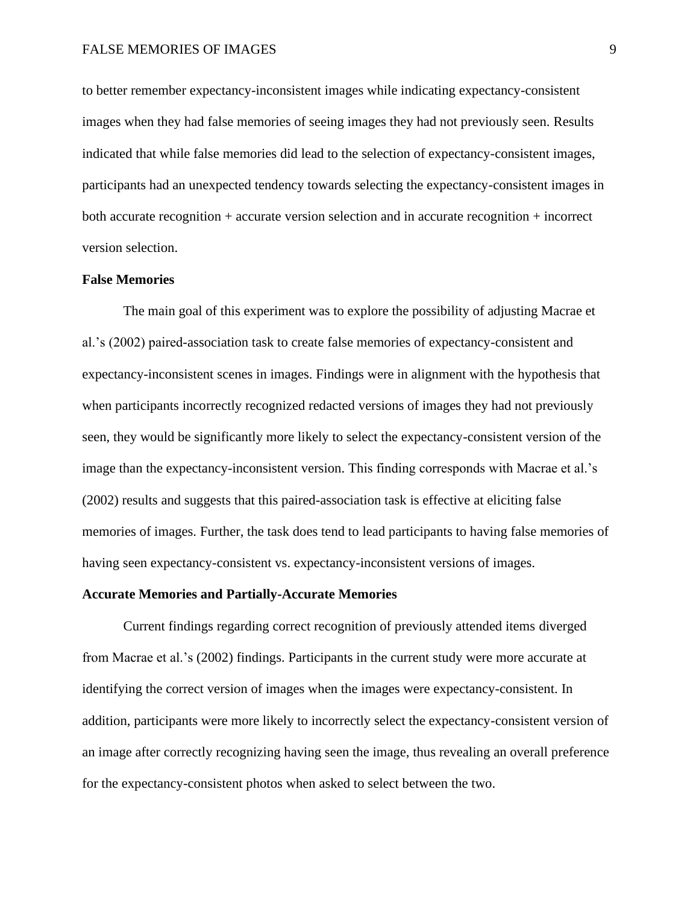to better remember expectancy-inconsistent images while indicating expectancy-consistent images when they had false memories of seeing images they had not previously seen. Results indicated that while false memories did lead to the selection of expectancy-consistent images, participants had an unexpected tendency towards selecting the expectancy-consistent images in both accurate recognition + accurate version selection and in accurate recognition + incorrect version selection.

#### **False Memories**

The main goal of this experiment was to explore the possibility of adjusting Macrae et al.'s (2002) paired-association task to create false memories of expectancy-consistent and expectancy-inconsistent scenes in images. Findings were in alignment with the hypothesis that when participants incorrectly recognized redacted versions of images they had not previously seen, they would be significantly more likely to select the expectancy-consistent version of the image than the expectancy-inconsistent version. This finding corresponds with Macrae et al.'s (2002) results and suggests that this paired-association task is effective at eliciting false memories of images. Further, the task does tend to lead participants to having false memories of having seen expectancy-consistent vs. expectancy-inconsistent versions of images.

#### **Accurate Memories and Partially-Accurate Memories**

Current findings regarding correct recognition of previously attended items diverged from Macrae et al.'s (2002) findings. Participants in the current study were more accurate at identifying the correct version of images when the images were expectancy-consistent. In addition, participants were more likely to incorrectly select the expectancy-consistent version of an image after correctly recognizing having seen the image, thus revealing an overall preference for the expectancy-consistent photos when asked to select between the two.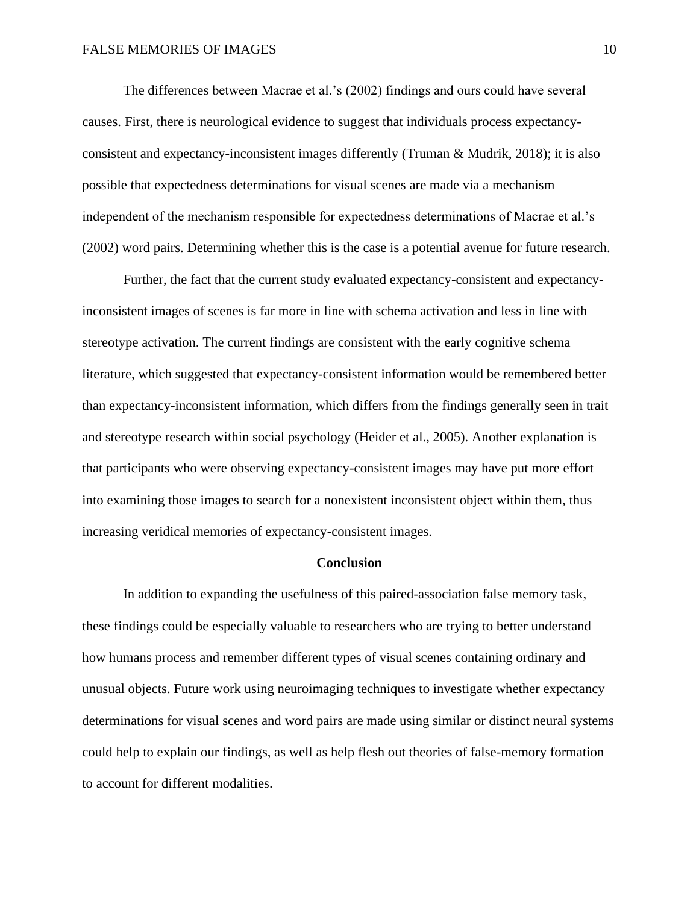The differences between Macrae et al.'s (2002) findings and ours could have several causes. First, there is neurological evidence to suggest that individuals process expectancyconsistent and expectancy-inconsistent images differently (Truman & Mudrik, 2018); it is also possible that expectedness determinations for visual scenes are made via a mechanism independent of the mechanism responsible for expectedness determinations of Macrae et al.'s (2002) word pairs. Determining whether this is the case is a potential avenue for future research.

Further, the fact that the current study evaluated expectancy-consistent and expectancyinconsistent images of scenes is far more in line with schema activation and less in line with stereotype activation. The current findings are consistent with the early cognitive schema literature, which suggested that expectancy-consistent information would be remembered better than expectancy-inconsistent information, which differs from the findings generally seen in trait and stereotype research within social psychology (Heider et al., 2005). Another explanation is that participants who were observing expectancy-consistent images may have put more effort into examining those images to search for a nonexistent inconsistent object within them, thus increasing veridical memories of expectancy-consistent images.

#### **Conclusion**

In addition to expanding the usefulness of this paired-association false memory task, these findings could be especially valuable to researchers who are trying to better understand how humans process and remember different types of visual scenes containing ordinary and unusual objects. Future work using neuroimaging techniques to investigate whether expectancy determinations for visual scenes and word pairs are made using similar or distinct neural systems could help to explain our findings, as well as help flesh out theories of false-memory formation to account for different modalities.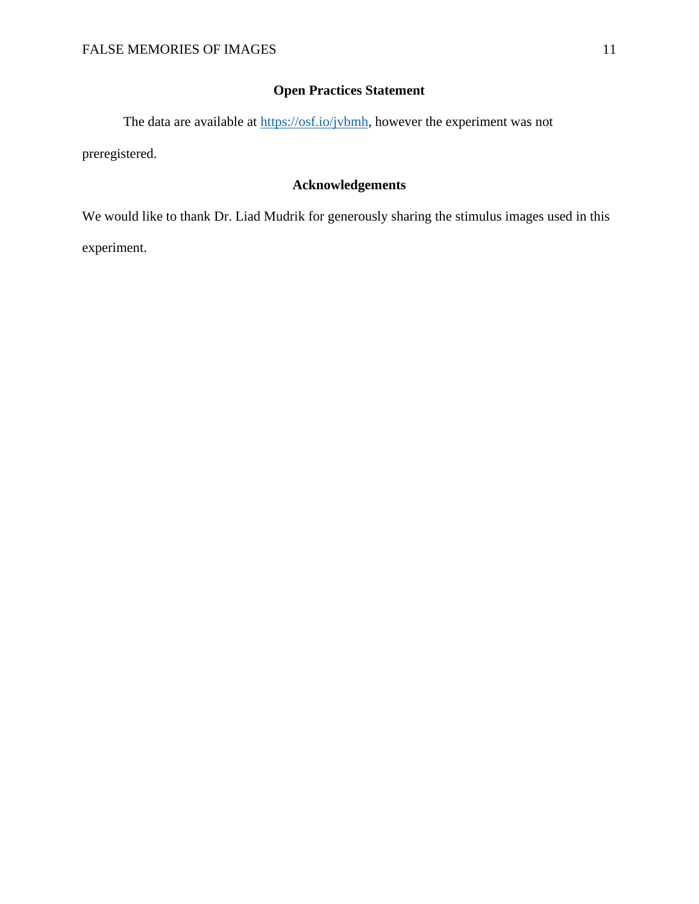# **Open Practices Statement**

The data are available at [https://osf.io/jvbmh,](https://osf.io/jvbmh) however the experiment was not preregistered.

# **Acknowledgements**

We would like to thank Dr. Liad Mudrik for generously sharing the stimulus images used in this experiment.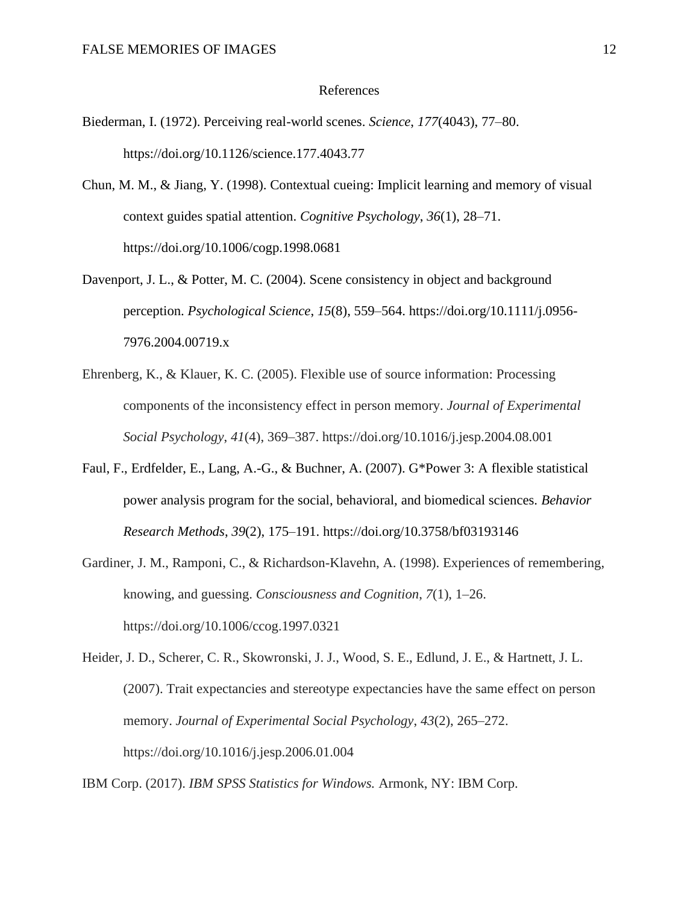#### References

- Biederman, I. (1972). Perceiving real-world scenes. *Science*, *177*(4043), 77–80. https://doi.org/10.1126/science.177.4043.77
- Chun, M. M., & Jiang, Y. (1998). Contextual cueing: Implicit learning and memory of visual context guides spatial attention. *Cognitive Psychology*, *36*(1), 28–71. https://doi.org/10.1006/cogp.1998.0681
- Davenport, J. L., & Potter, M. C. (2004). Scene consistency in object and background perception. *Psychological Science*, *15*(8), 559–564. https://doi.org/10.1111/j.0956- 7976.2004.00719.x
- Ehrenberg, K., & Klauer, K. C. (2005). Flexible use of source information: Processing components of the inconsistency effect in person memory. *Journal of Experimental Social Psychology*, *41*(4), 369–387. https://doi.org/10.1016/j.jesp.2004.08.001
- Faul, F., Erdfelder, E., Lang, A.-G., & Buchner, A. (2007). G\*Power 3: A flexible statistical power analysis program for the social, behavioral, and biomedical sciences. *Behavior Research Methods*, *39*(2), 175–191. https://doi.org/10.3758/bf03193146
- Gardiner, J. M., Ramponi, C., & Richardson-Klavehn, A. (1998). Experiences of remembering, knowing, and guessing. *Consciousness and Cognition*, *7*(1), 1–26. https://doi.org/10.1006/ccog.1997.0321
- Heider, J. D., Scherer, C. R., Skowronski, J. J., Wood, S. E., Edlund, J. E., & Hartnett, J. L. (2007). Trait expectancies and stereotype expectancies have the same effect on person memory. *Journal of Experimental Social Psychology*, *43*(2), 265–272. <https://doi.org/10.1016/j.jesp.2006.01.004>

IBM Corp. (2017). *IBM SPSS Statistics for Windows.* Armonk, NY: IBM Corp.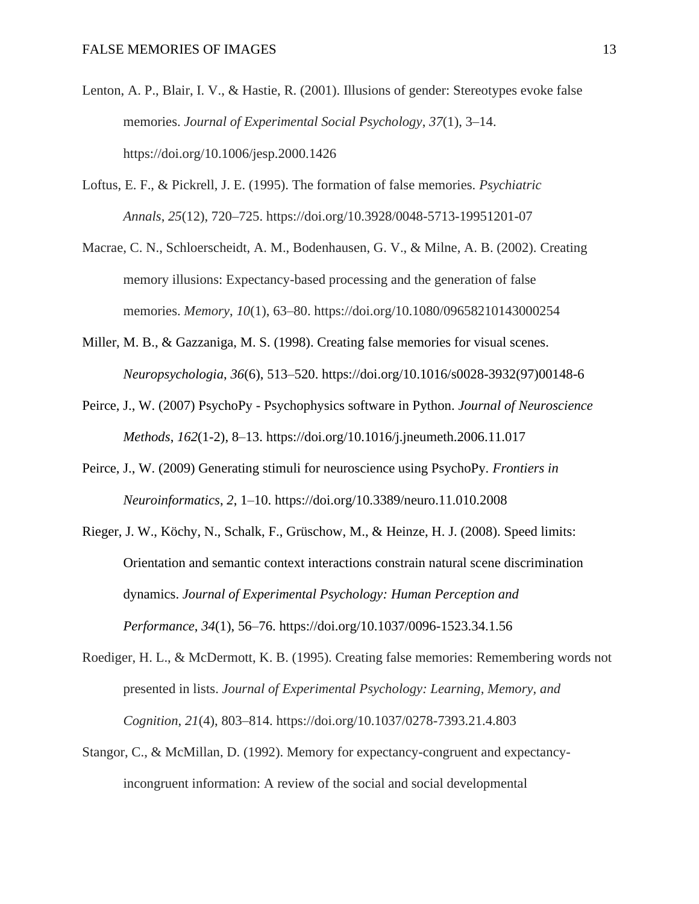- Lenton, A. P., Blair, I. V., & Hastie, R. (2001). Illusions of gender: Stereotypes evoke false memories. *Journal of Experimental Social Psychology*, *37*(1), 3–14. https://doi.org/10.1006/jesp.2000.1426
- Loftus, E. F., & Pickrell, J. E. (1995). The formation of false memories. *Psychiatric Annals*, *25*(12), 720–725. https://doi.org/10.3928/0048-5713-19951201-07
- Macrae, C. N., Schloerscheidt, A. M., Bodenhausen, G. V., & Milne, A. B. (2002). Creating memory illusions: Expectancy-based processing and the generation of false memories. *Memory*, *10*(1), 63–80. https://doi.org/10.1080/09658210143000254
- Miller, M. B., & Gazzaniga, M. S. (1998). Creating false memories for visual scenes. *Neuropsychologia*, *36*(6), 513–520. https://doi.org/10.1016/s0028-3932(97)00148-6
- Peirce, J., W. (2007) PsychoPy Psychophysics software in Python. *Journal of Neuroscience Methods*, *162*(1-2), 8–13. https://doi.org/10.1016/j.jneumeth.2006.11.017
- Peirce, J., W. (2009) Generating stimuli for neuroscience using PsychoPy. *Frontiers in Neuroinformatics*, *2*, 1–10. https://doi.org/10.3389/neuro.11.010.2008
- Rieger, J. W., Köchy, N., Schalk, F., Grüschow, M., & Heinze, H. J. (2008). Speed limits: Orientation and semantic context interactions constrain natural scene discrimination dynamics. *Journal of Experimental Psychology: Human Perception and Performance*, *34*(1), 56–76. https://doi.org/10.1037/0096-1523.34.1.56
- Roediger, H. L., & McDermott, K. B. (1995). Creating false memories: Remembering words not presented in lists. *Journal of Experimental Psychology: Learning, Memory, and Cognition*, *21*(4), 803–814. https://doi.org/10.1037/0278-7393.21.4.803
- Stangor, C., & McMillan, D. (1992). Memory for expectancy-congruent and expectancyincongruent information: A review of the social and social developmental